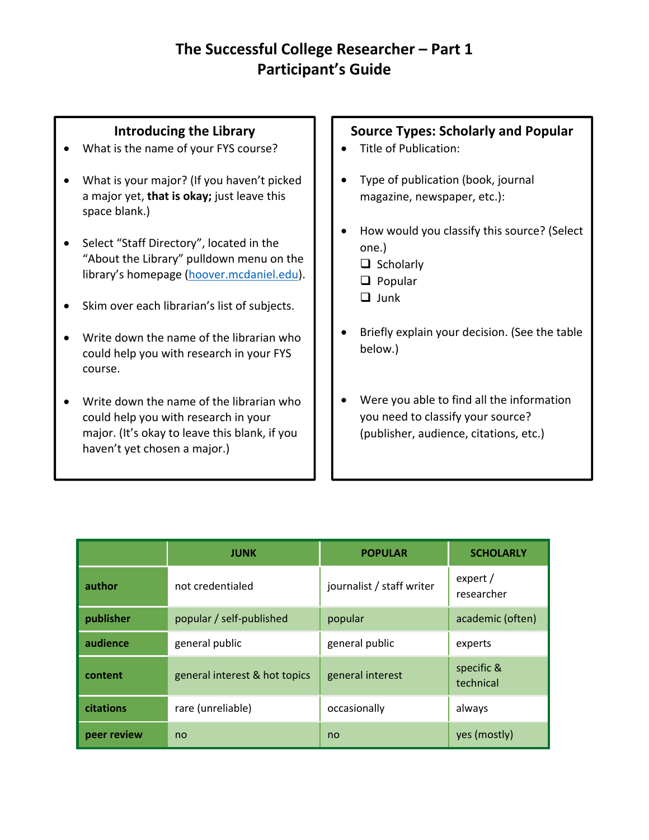# **The Successful College Researcher – Part 1 Participant's Guide**

### **Introducing the Library**

- What is the name of your FYS course?
- What is your major? (If you haven't picked a major yet, **that is okay;** just leave this space blank.)
- Select "Staff Directory", located in the "About the Library" pulldown menu on the library's homepage (hoover.mcdaniel.edu).
- Skim over each librarian's list of subjects.
- Write down the name of the librarian who could help you with research in your FYS course.
- Write down the name of the librarian who could help you with research in your major. (It's okay to leave this blank, if you haven't yet chosen a major.)

#### **Source Types: Scholarly and Popular**

- Title of Publication:
- Type of publication (book, journal magazine, newspaper, etc.):
- How would you classify this source? (Select one.)
	- $\Box$  Scholarly
	- $\Box$  Popular
	- $\Box$  Junk
- Briefly explain your decision. (See the table below.)
- Were you able to find all the information you need to classify your source? (publisher, audience, citations, etc.)

|             | <b>JUNK</b>                   | <b>POPULAR</b>            | <b>SCHOLARLY</b>        |
|-------------|-------------------------------|---------------------------|-------------------------|
| author      | not credentialed              | journalist / staff writer | expert /<br>researcher  |
| publisher   | popular / self-published      | popular                   | academic (often)        |
| audience    | general public                | general public            | experts                 |
| content     | general interest & hot topics | general interest          | specific &<br>technical |
| citations   | rare (unreliable)             | occasionally              | always                  |
| peer review | no                            | no                        | yes (mostly)            |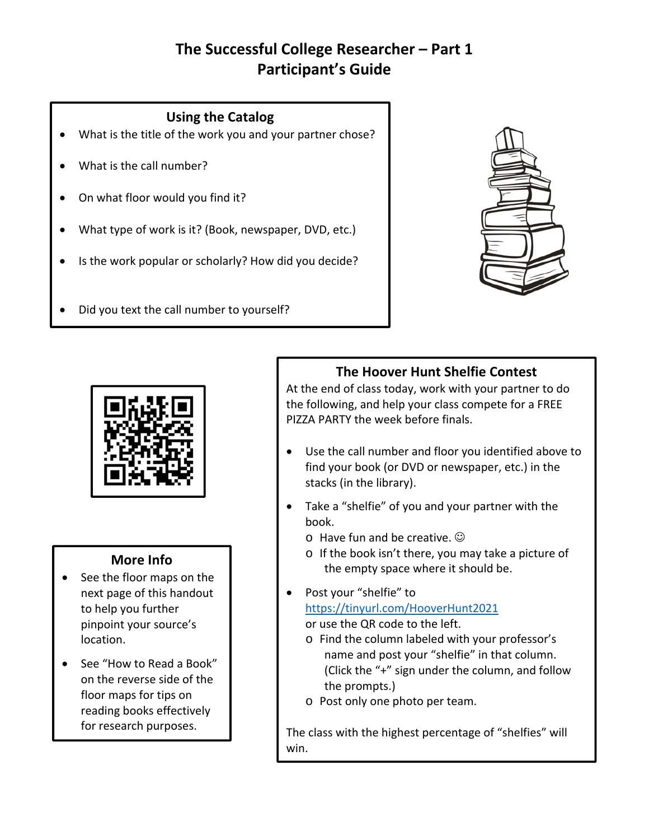# **The Successful College Researcher – Part 1 Participant's Guide**

#### **Using the Catalog**

- What is the title of the work you and your partner chose?
- What is the call number?
- On what floor would you find it?
- What type of work is it? (Book, newspaper, DVD, etc.)
- Is the work popular or scholarly? How did you decide?
- Did you text the call number to yourself?





#### **More Info**

- See the floor maps on the next page of this handout to help you further pinpoint your source's location.
- See "How to Read a Book" on the reverse side of the floor maps for tips on reading books effectively for research purposes.

## **The Hoover Hunt Shelfie Contest**

At the end of class today, work with your partner to do the following, and help your class compete for a FREE PIZZA PARTY the week before finals.

- Use the call number and floor you identified above to find your book (or DVD or newspaper, etc.) in the stacks (in the library).
- Take a "shelfie" of you and your partner with the book.
	- $\circ$  Have fun and be creative.  $\odot$
	- o If the book isn't there, you may take a picture of the empty space where it should be.
- Post your "shelfie" to https://tinyurl.com/HooverHunt2021 or use the QR code to the left.
	- o Find the column labeled with your professor's name and post your "shelfie" in that column. (Click the "+" sign under the column, and follow the prompts.)
	- o Post only one photo per team.

The class with the highest percentage of "shelfies" will win.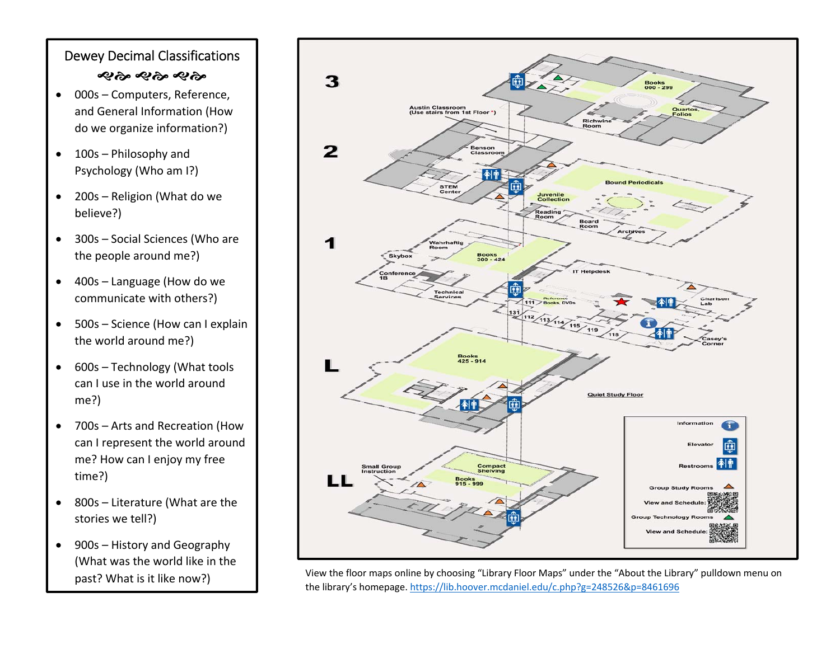## Dewey Decimal Classifications જાજી જાજી જાજી

- 000s Computers, Reference, and General Information (How do we organize information?)
- $\bullet$  100s – Philosophy and Psychology (Who am I?)
- $\bullet$  200s – Religion (What do we believe?)
- $\bullet$  300s – Social Sciences (Who are the people around me?)
- $\bullet$  400s – Language (How do we communicate with others?)
- $\bullet$  500s – Science (How can I explain the world around me?)
- 600s Technology (What tools can I use in the world around me?)
- $\bullet$  700s – Arts and Recreation (How can I represent the world around me? How can I enjoy my free time?)
- $\bullet$  800s – Literature (What are the stories we tell?)
- $\bullet$  900s – History and Geography (What was the world like in the past? What is it like now?)



View the floor maps online by choosing "Library Floor Maps" under the "About the Library" pulldown menu on the library's homepage. https://lib.hoover.mcdaniel.edu/c.php?g=248526&p=8461696